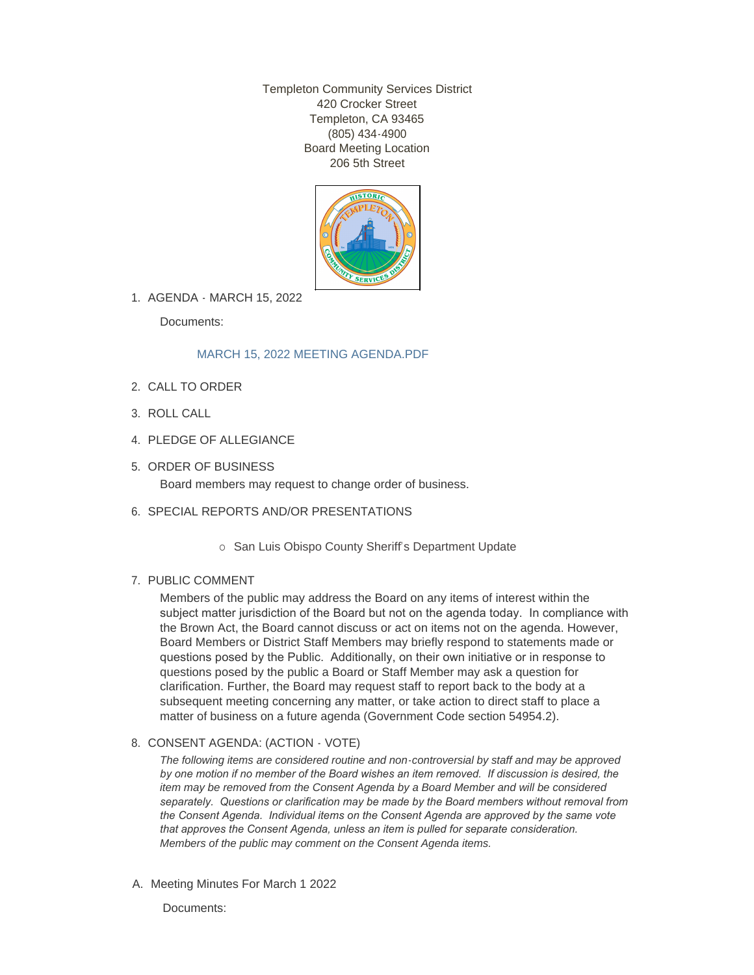Templeton Community Services District 420 Crocker Street Templeton, CA 93465 (805) 434-4900 Board Meeting Location 206 5th Street



AGENDA - MARCH 15, 2022 1.

Documents:

# [MARCH 15, 2022 MEETING AGENDA.PDF](http://www.templetoncsd.org/AgendaCenter/ViewFile/Item/4598?fileID=3196)

- 2. CALL TO ORDER
- ROLL CALL 3.
- 4. PLEDGE OF ALLEGIANCE
- 5. ORDER OF BUSINESS Board members may request to change order of business.
- 6. SPECIAL REPORTS AND/OR PRESENTATIONS
	- o San Luis Obispo County Sheriff's Department Update

# 7. PUBLIC COMMENT

Members of the public may address the Board on any items of interest within the subject matter jurisdiction of the Board but not on the agenda today. In compliance with the Brown Act, the Board cannot discuss or act on items not on the agenda. However, Board Members or District Staff Members may briefly respond to statements made or questions posed by the Public. Additionally, on their own initiative or in response to questions posed by the public a Board or Staff Member may ask a question for clarification. Further, the Board may request staff to report back to the body at a subsequent meeting concerning any matter, or take action to direct staff to place a matter of business on a future agenda (Government Code section 54954.2).

## 8. CONSENT AGENDA: (ACTION - VOTE)

*The following items are considered routine and non-controversial by staff and may be approved by one motion if no member of the Board wishes an item removed. If discussion is desired, the item may be removed from the Consent Agenda by a Board Member and will be considered separately. Questions or clarification may be made by the Board members without removal from the Consent Agenda. Individual items on the Consent Agenda are approved by the same vote that approves the Consent Agenda, unless an item is pulled for separate consideration. Members of the public may comment on the Consent Agenda items.*

A. Meeting Minutes For March 1 2022

Documents: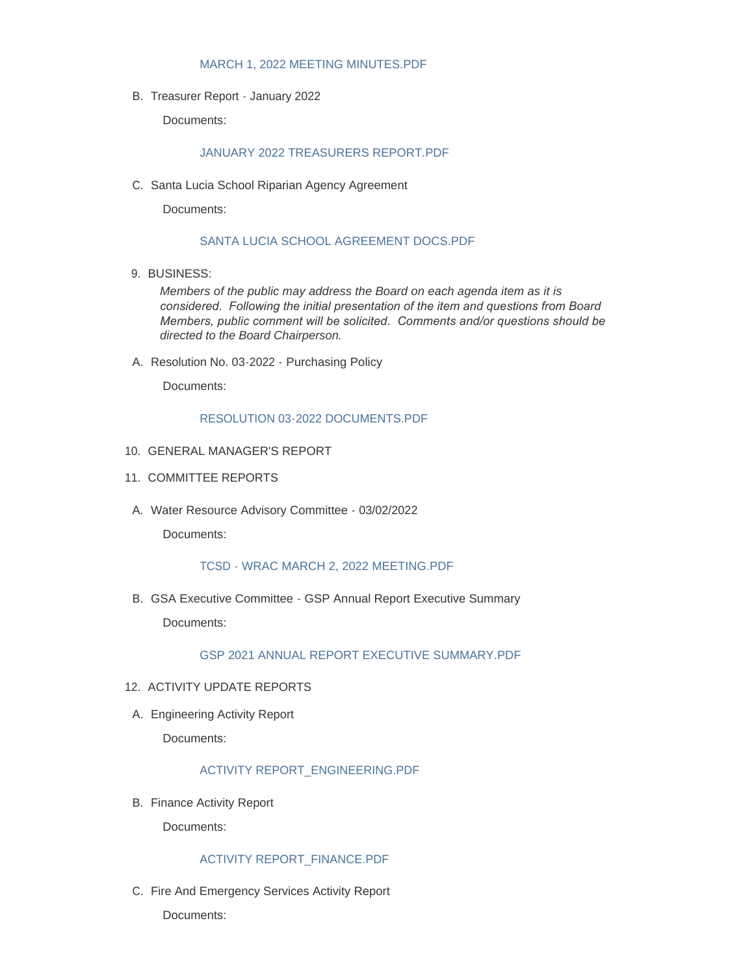#### [MARCH 1, 2022 MEETING MINUTES.PDF](http://www.templetoncsd.org/AgendaCenter/ViewFile/Item/4588?fileID=3186)

B. Treasurer Report - January 2022

Documents:

#### [JANUARY 2022 TREASURERS REPORT.PDF](http://www.templetoncsd.org/AgendaCenter/ViewFile/Item/4589?fileID=3187)

C. Santa Lucia School Riparian Agency Agreement

Documents:

## [SANTA LUCIA SCHOOL AGREEMENT DOCS.PDF](http://www.templetoncsd.org/AgendaCenter/ViewFile/Item/4590?fileID=3188)

9. BUSINESS:

*Members of the public may address the Board on each agenda item as it is considered. Following the initial presentation of the item and questions from Board Members, public comment will be solicited. Comments and/or questions should be directed to the Board Chairperson.*

A. Resolution No. 03-2022 - Purchasing Policy

Documents:

#### [RESOLUTION 03-2022 DOCUMENTS.PDF](http://www.templetoncsd.org/AgendaCenter/ViewFile/Item/4591?fileID=3189)

- 10. GENERAL MANAGER'S REPORT
- 11. COMMITTEE REPORTS
- A. Water Resource Advisory Committee 03/02/2022

Documents:

### [TCSD - WRAC MARCH 2, 2022 MEETING.PDF](http://www.templetoncsd.org/AgendaCenter/ViewFile/Item/4592?fileID=3190)

GSA Executive Committee - GSP Annual Report Executive Summary B.

Documents:

[GSP 2021 ANNUAL REPORT EXECUTIVE SUMMARY.PDF](http://www.templetoncsd.org/AgendaCenter/ViewFile/Item/4593?fileID=3191)

#### 12. ACTIVITY UPDATE REPORTS

A. Engineering Activity Report

Documents:

#### [ACTIVITY REPORT\\_ENGINEERING.PDF](http://www.templetoncsd.org/AgendaCenter/ViewFile/Item/4594?fileID=3192)

B. Finance Activity Report

Documents:

# [ACTIVITY REPORT\\_FINANCE.PDF](http://www.templetoncsd.org/AgendaCenter/ViewFile/Item/4595?fileID=3193)

C. Fire And Emergency Services Activity Report

Documents: